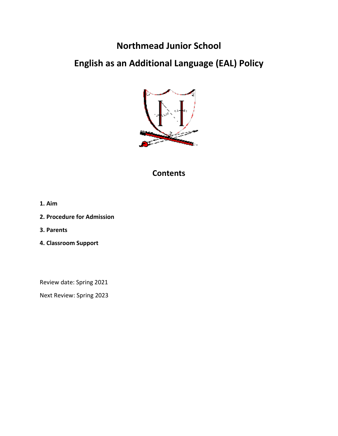## **Northmead Junior School**

# **English as an Additional Language (EAL) Policy**



### **Contents**

- **1. Aim**
- **2. Procedure for Admission**
- **3. Parents**
- **4. Classroom Support**

Review date: Spring 2021

Next Review: Spring 2023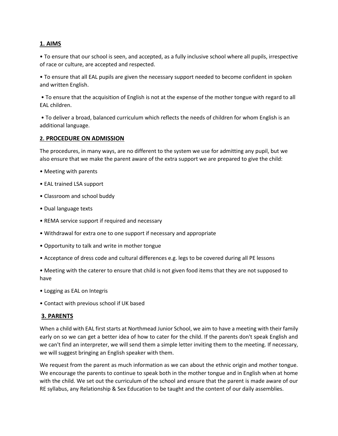#### **1. AIMS**

• To ensure that our school is seen, and accepted, as a fully inclusive school where all pupils, irrespective of race or culture, are accepted and respected.

• To ensure that all EAL pupils are given the necessary support needed to become confident in spoken and written English.

• To ensure that the acquisition of English is not at the expense of the mother tongue with regard to all EAL children.

• To deliver a broad, balanced curriculum which reflects the needs of children for whom English is an additional language.

#### **2. PROCEDURE ON ADMISSION**

The procedures, in many ways, are no different to the system we use for admitting any pupil, but we also ensure that we make the parent aware of the extra support we are prepared to give the child:

- Meeting with parents
- EAL trained LSA support
- Classroom and school buddy
- Dual language texts
- REMA service support if required and necessary
- Withdrawal for extra one to one support if necessary and appropriate
- Opportunity to talk and write in mother tongue
- Acceptance of dress code and cultural differences e.g. legs to be covered during all PE lessons

• Meeting with the caterer to ensure that child is not given food items that they are not supposed to have

- Logging as EAL on Integris
- Contact with previous school if UK based

#### **3. PARENTS**

When a child with EAL first starts at Northmead Junior School, we aim to have a meeting with their family early on so we can get a better idea of how to cater for the child. If the parents don't speak English and we can't find an interpreter, we will send them a simple letter inviting them to the meeting. If necessary, we will suggest bringing an English speaker with them.

We request from the parent as much information as we can about the ethnic origin and mother tongue. We encourage the parents to continue to speak both in the mother tongue and in English when at home with the child. We set out the curriculum of the school and ensure that the parent is made aware of our RE syllabus, any Relationship & Sex Education to be taught and the content of our daily assemblies.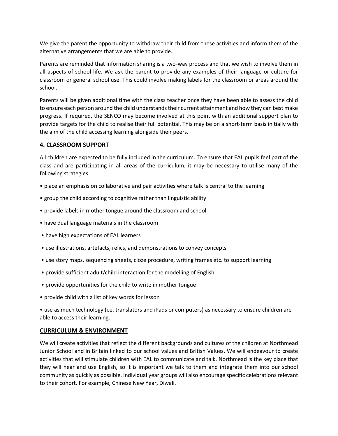We give the parent the opportunity to withdraw their child from these activities and inform them of the alternative arrangements that we are able to provide.

Parents are reminded that information sharing is a two-way process and that we wish to involve them in all aspects of school life. We ask the parent to provide any examples of their language or culture for classroom or general school use. This could involve making labels for the classroom or areas around the school.

Parents will be given additional time with the class teacher once they have been able to assess the child to ensure each person around the child understands their current attainment and how they can best make progress. If required, the SENCO may become involved at this point with an additional support plan to provide targets for the child to realise their full potential. This may be on a short-term basis initially with the aim of the child accessing learning alongside their peers.

#### **4. CLASSROOM SUPPORT**

All children are expected to be fully included in the curriculum. To ensure that EAL pupils feel part of the class and are participating in all areas of the curriculum, it may be necessary to utilise many of the following strategies:

- place an emphasis on collaborative and pair activities where talk is central to the learning
- group the child according to cognitive rather than linguistic ability
- provide labels in mother tongue around the classroom and school
- have dual language materials in the classroom
- have high expectations of EAL learners
- use illustrations, artefacts, relics, and demonstrations to convey concepts
- use story maps, sequencing sheets, cloze procedure, writing frames etc. to support learning
- provide sufficient adult/child interaction for the modelling of English
- provide opportunities for the child to write in mother tongue
- provide child with a list of key words for lesson

• use as much technology (i.e. translators and iPads or computers) as necessary to ensure children are able to access their learning.

#### **CURRICULUM & ENVIRONMENT**

We will create activities that reflect the different backgrounds and cultures of the children at Northmead Junior School and in Britain linked to our school values and British Values. We will endeavour to create activities that will stimulate children with EAL to communicate and talk. Northmead is the key place that they will hear and use English, so it is important we talk to them and integrate them into our school community as quickly as possible. Individual year groups will also encourage specific celebrations relevant to their cohort. For example, Chinese New Year, Diwali.